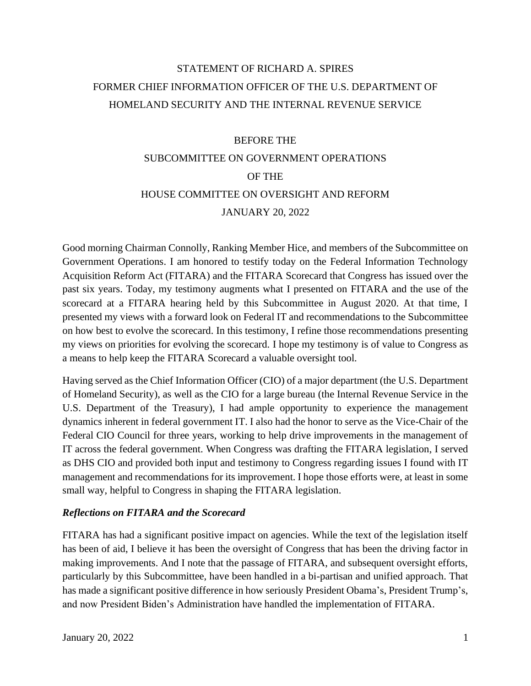## STATEMENT OF RICHARD A. SPIRES FORMER CHIEF INFORMATION OFFICER OF THE U.S. DEPARTMENT OF HOMELAND SECURITY AND THE INTERNAL REVENUE SERVICE

#### BEFORE THE

# SUBCOMMITTEE ON GOVERNMENT OPERATIONS OF THE HOUSE COMMITTEE ON OVERSIGHT AND REFORM JANUARY 20, 2022

Good morning Chairman Connolly, Ranking Member Hice, and members of the Subcommittee on Government Operations. I am honored to testify today on the Federal Information Technology Acquisition Reform Act (FITARA) and the FITARA Scorecard that Congress has issued over the past six years. Today, my testimony augments what I presented on FITARA and the use of the scorecard at a FITARA hearing held by this Subcommittee in August 2020. At that time, I presented my views with a forward look on Federal IT and recommendations to the Subcommittee on how best to evolve the scorecard. In this testimony, I refine those recommendations presenting my views on priorities for evolving the scorecard. I hope my testimony is of value to Congress as a means to help keep the FITARA Scorecard a valuable oversight tool.

Having served as the Chief Information Officer (CIO) of a major department (the U.S. Department of Homeland Security), as well as the CIO for a large bureau (the Internal Revenue Service in the U.S. Department of the Treasury), I had ample opportunity to experience the management dynamics inherent in federal government IT. I also had the honor to serve as the Vice-Chair of the Federal CIO Council for three years, working to help drive improvements in the management of IT across the federal government. When Congress was drafting the FITARA legislation, I served as DHS CIO and provided both input and testimony to Congress regarding issues I found with IT management and recommendations for its improvement. I hope those efforts were, at least in some small way, helpful to Congress in shaping the FITARA legislation.

## *Reflections on FITARA and the Scorecard*

FITARA has had a significant positive impact on agencies. While the text of the legislation itself has been of aid, I believe it has been the oversight of Congress that has been the driving factor in making improvements. And I note that the passage of FITARA, and subsequent oversight efforts, particularly by this Subcommittee, have been handled in a bi-partisan and unified approach. That has made a significant positive difference in how seriously President Obama's, President Trump's, and now President Biden's Administration have handled the implementation of FITARA.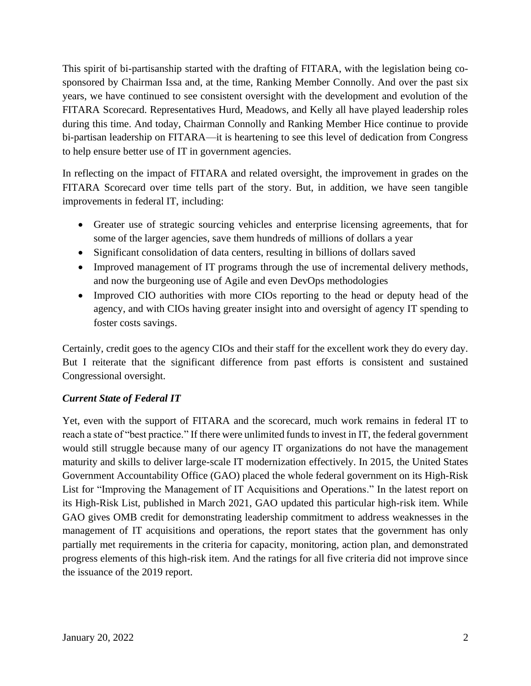This spirit of bi-partisanship started with the drafting of FITARA, with the legislation being cosponsored by Chairman Issa and, at the time, Ranking Member Connolly. And over the past six years, we have continued to see consistent oversight with the development and evolution of the FITARA Scorecard. Representatives Hurd, Meadows, and Kelly all have played leadership roles during this time. And today, Chairman Connolly and Ranking Member Hice continue to provide bi-partisan leadership on FITARA—it is heartening to see this level of dedication from Congress to help ensure better use of IT in government agencies.

In reflecting on the impact of FITARA and related oversight, the improvement in grades on the FITARA Scorecard over time tells part of the story. But, in addition, we have seen tangible improvements in federal IT, including:

- Greater use of strategic sourcing vehicles and enterprise licensing agreements, that for some of the larger agencies, save them hundreds of millions of dollars a year
- Significant consolidation of data centers, resulting in billions of dollars saved
- Improved management of IT programs through the use of incremental delivery methods, and now the burgeoning use of Agile and even DevOps methodologies
- Improved CIO authorities with more CIOs reporting to the head or deputy head of the agency, and with CIOs having greater insight into and oversight of agency IT spending to foster costs savings.

Certainly, credit goes to the agency CIOs and their staff for the excellent work they do every day. But I reiterate that the significant difference from past efforts is consistent and sustained Congressional oversight.

## *Current State of Federal IT*

Yet, even with the support of FITARA and the scorecard, much work remains in federal IT to reach a state of "best practice." If there were unlimited funds to invest in IT, the federal government would still struggle because many of our agency IT organizations do not have the management maturity and skills to deliver large-scale IT modernization effectively. In 2015, the United States Government Accountability Office (GAO) placed the whole federal government on its High-Risk List for "Improving the Management of IT Acquisitions and Operations." In the latest report on its High-Risk List, published in March 2021, GAO updated this particular high-risk item. While GAO gives OMB credit for demonstrating leadership commitment to address weaknesses in the management of IT acquisitions and operations, the report states that the government has only partially met requirements in the criteria for capacity, monitoring, action plan, and demonstrated progress elements of this high-risk item. And the ratings for all five criteria did not improve since the issuance of the 2019 report.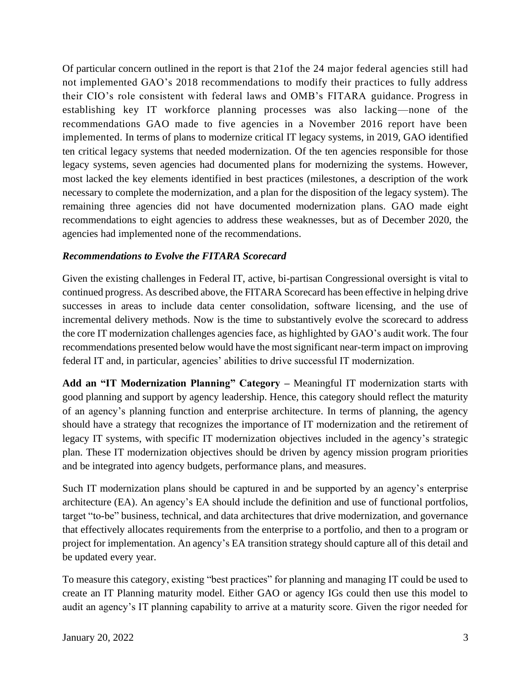Of particular concern outlined in the report is that 21of the 24 major federal agencies still had not implemented GAO's 2018 recommendations to modify their practices to fully address their CIO's role consistent with federal laws and OMB's FITARA guidance. Progress in establishing key IT workforce planning processes was also lacking—none of the recommendations GAO made to five agencies in a November 2016 report have been implemented. In terms of plans to modernize critical IT legacy systems, in 2019, GAO identified ten critical legacy systems that needed modernization. Of the ten agencies responsible for those legacy systems, seven agencies had documented plans for modernizing the systems. However, most lacked the key elements identified in best practices (milestones, a description of the work necessary to complete the modernization, and a plan for the disposition of the legacy system). The remaining three agencies did not have documented modernization plans. GAO made eight recommendations to eight agencies to address these weaknesses, but as of December 2020, the agencies had implemented none of the recommendations.

## *Recommendations to Evolve the FITARA Scorecard*

Given the existing challenges in Federal IT, active, bi-partisan Congressional oversight is vital to continued progress. As described above, the FITARA Scorecard has been effective in helping drive successes in areas to include data center consolidation, software licensing, and the use of incremental delivery methods. Now is the time to substantively evolve the scorecard to address the core IT modernization challenges agencies face, as highlighted by GAO's audit work. The four recommendations presented below would have the most significant near-term impact on improving federal IT and, in particular, agencies' abilities to drive successful IT modernization.

**Add an "IT Modernization Planning" Category –** Meaningful IT modernization starts with good planning and support by agency leadership. Hence, this category should reflect the maturity of an agency's planning function and enterprise architecture. In terms of planning, the agency should have a strategy that recognizes the importance of IT modernization and the retirement of legacy IT systems, with specific IT modernization objectives included in the agency's strategic plan. These IT modernization objectives should be driven by agency mission program priorities and be integrated into agency budgets, performance plans, and measures.

Such IT modernization plans should be captured in and be supported by an agency's enterprise architecture (EA). An agency's EA should include the definition and use of functional portfolios, target "to-be" business, technical, and data architectures that drive modernization, and governance that effectively allocates requirements from the enterprise to a portfolio, and then to a program or project for implementation. An agency's EA transition strategy should capture all of this detail and be updated every year.

To measure this category, existing "best practices" for planning and managing IT could be used to create an IT Planning maturity model. Either GAO or agency IGs could then use this model to audit an agency's IT planning capability to arrive at a maturity score. Given the rigor needed for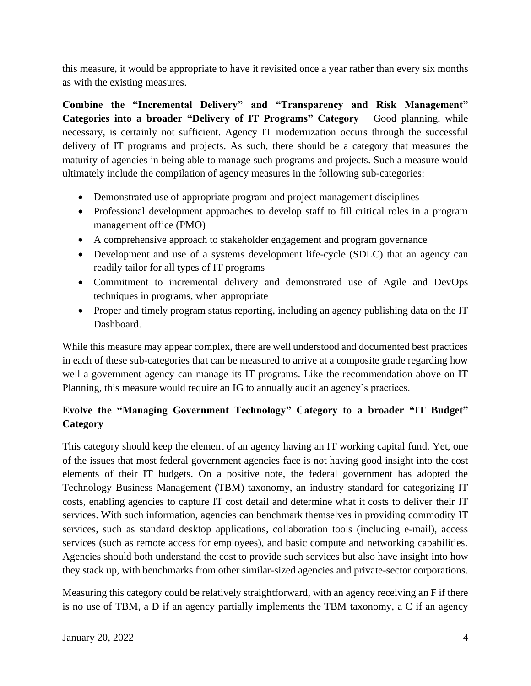this measure, it would be appropriate to have it revisited once a year rather than every six months as with the existing measures.

**Combine the "Incremental Delivery" and "Transparency and Risk Management" Categories into a broader "Delivery of IT Programs" Category** – Good planning, while necessary, is certainly not sufficient. Agency IT modernization occurs through the successful delivery of IT programs and projects. As such, there should be a category that measures the maturity of agencies in being able to manage such programs and projects. Such a measure would ultimately include the compilation of agency measures in the following sub-categories:

- Demonstrated use of appropriate program and project management disciplines
- Professional development approaches to develop staff to fill critical roles in a program management office (PMO)
- A comprehensive approach to stakeholder engagement and program governance
- Development and use of a systems development life-cycle (SDLC) that an agency can readily tailor for all types of IT programs
- Commitment to incremental delivery and demonstrated use of Agile and DevOps techniques in programs, when appropriate
- Proper and timely program status reporting, including an agency publishing data on the IT Dashboard.

While this measure may appear complex, there are well understood and documented best practices in each of these sub-categories that can be measured to arrive at a composite grade regarding how well a government agency can manage its IT programs. Like the recommendation above on IT Planning, this measure would require an IG to annually audit an agency's practices.

## **Evolve the "Managing Government Technology" Category to a broader "IT Budget" Category**

This category should keep the element of an agency having an IT working capital fund. Yet, one of the issues that most federal government agencies face is not having good insight into the cost elements of their IT budgets. On a positive note, the federal government has adopted the Technology Business Management (TBM) taxonomy, an industry standard for categorizing IT costs, enabling agencies to capture IT cost detail and determine what it costs to deliver their IT services. With such information, agencies can benchmark themselves in providing commodity IT services, such as standard desktop applications, collaboration tools (including e-mail), access services (such as remote access for employees), and basic compute and networking capabilities. Agencies should both understand the cost to provide such services but also have insight into how they stack up, with benchmarks from other similar-sized agencies and private-sector corporations.

Measuring this category could be relatively straightforward, with an agency receiving an F if there is no use of TBM, a D if an agency partially implements the TBM taxonomy, a C if an agency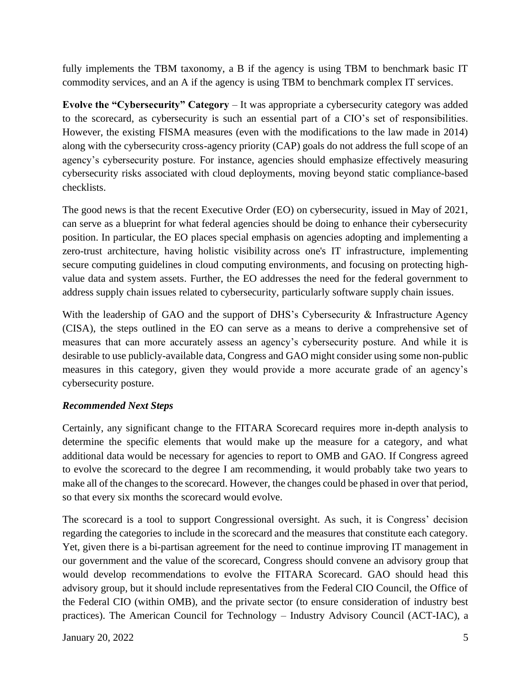fully implements the TBM taxonomy, a B if the agency is using TBM to benchmark basic IT commodity services, and an A if the agency is using TBM to benchmark complex IT services.

**Evolve the "Cybersecurity" Category** – It was appropriate a cybersecurity category was added to the scorecard, as cybersecurity is such an essential part of a CIO's set of responsibilities. However, the existing FISMA measures (even with the modifications to the law made in 2014) along with the cybersecurity cross-agency priority (CAP) goals do not address the full scope of an agency's cybersecurity posture. For instance, agencies should emphasize effectively measuring cybersecurity risks associated with cloud deployments, moving beyond static compliance-based checklists.

The good news is that the recent Executive Order (EO) on cybersecurity, issued in May of 2021, can serve as a blueprint for what federal agencies should be doing to enhance their cybersecurity position. In particular, the EO places special emphasis on agencies adopting and implementing a zero-trust architecture, having holistic visibility across one's IT infrastructure, implementing secure computing guidelines in cloud computing environments, and focusing on protecting highvalue data and system assets. Further, the EO addresses the need for the federal government to address supply chain issues related to cybersecurity, particularly software supply chain issues.

With the leadership of GAO and the support of DHS's Cybersecurity & Infrastructure Agency (CISA), the steps outlined in the EO can serve as a means to derive a comprehensive set of measures that can more accurately assess an agency's cybersecurity posture. And while it is desirable to use publicly-available data, Congress and GAO might consider using some non-public measures in this category, given they would provide a more accurate grade of an agency's cybersecurity posture.

## *Recommended Next Steps*

Certainly, any significant change to the FITARA Scorecard requires more in-depth analysis to determine the specific elements that would make up the measure for a category, and what additional data would be necessary for agencies to report to OMB and GAO. If Congress agreed to evolve the scorecard to the degree I am recommending, it would probably take two years to make all of the changes to the scorecard. However, the changes could be phased in over that period, so that every six months the scorecard would evolve.

The scorecard is a tool to support Congressional oversight. As such, it is Congress' decision regarding the categories to include in the scorecard and the measures that constitute each category. Yet, given there is a bi-partisan agreement for the need to continue improving IT management in our government and the value of the scorecard, Congress should convene an advisory group that would develop recommendations to evolve the FITARA Scorecard. GAO should head this advisory group, but it should include representatives from the Federal CIO Council, the Office of the Federal CIO (within OMB), and the private sector (to ensure consideration of industry best practices). The American Council for Technology – Industry Advisory Council (ACT-IAC), a